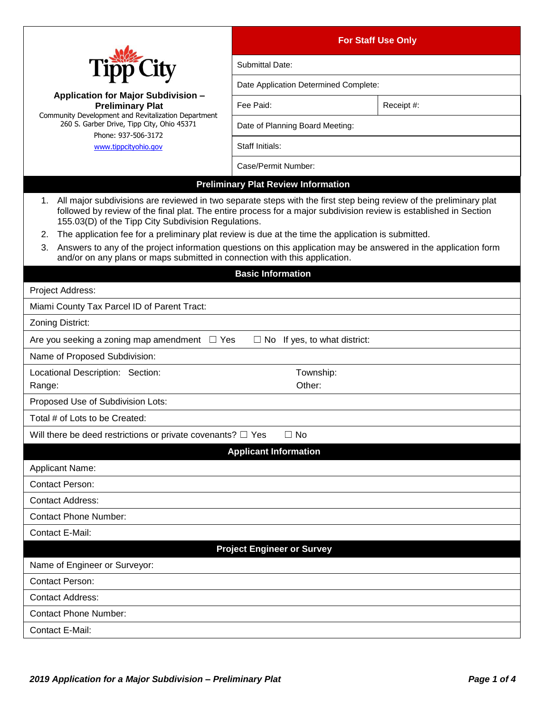|                                                                                                                                                                                                                                                                                                                                                                                                                                                                                                                                                                                                                      | <b>For Staff Use Only</b>                  |            |  |
|----------------------------------------------------------------------------------------------------------------------------------------------------------------------------------------------------------------------------------------------------------------------------------------------------------------------------------------------------------------------------------------------------------------------------------------------------------------------------------------------------------------------------------------------------------------------------------------------------------------------|--------------------------------------------|------------|--|
|                                                                                                                                                                                                                                                                                                                                                                                                                                                                                                                                                                                                                      | Submittal Date:                            |            |  |
|                                                                                                                                                                                                                                                                                                                                                                                                                                                                                                                                                                                                                      | Date Application Determined Complete:      |            |  |
| <b>Application for Major Subdivision -</b><br><b>Preliminary Plat</b>                                                                                                                                                                                                                                                                                                                                                                                                                                                                                                                                                | Fee Paid:                                  | Receipt #: |  |
| Community Development and Revitalization Department<br>260 S. Garber Drive, Tipp City, Ohio 45371<br>Phone: 937-506-3172<br>www.tippcityohio.gov                                                                                                                                                                                                                                                                                                                                                                                                                                                                     | Date of Planning Board Meeting:            |            |  |
|                                                                                                                                                                                                                                                                                                                                                                                                                                                                                                                                                                                                                      | Staff Initials:                            |            |  |
|                                                                                                                                                                                                                                                                                                                                                                                                                                                                                                                                                                                                                      | Case/Permit Number:                        |            |  |
|                                                                                                                                                                                                                                                                                                                                                                                                                                                                                                                                                                                                                      | <b>Preliminary Plat Review Information</b> |            |  |
| 1. All major subdivisions are reviewed in two separate steps with the first step being review of the preliminary plat<br>followed by review of the final plat. The entire process for a major subdivision review is established in Section<br>155.03(D) of the Tipp City Subdivision Regulations.<br>The application fee for a preliminary plat review is due at the time the application is submitted.<br>2.<br>Answers to any of the project information questions on this application may be answered in the application form<br>3.<br>and/or on any plans or maps submitted in connection with this application. |                                            |            |  |
| <b>Basic Information</b>                                                                                                                                                                                                                                                                                                                                                                                                                                                                                                                                                                                             |                                            |            |  |
| Project Address:                                                                                                                                                                                                                                                                                                                                                                                                                                                                                                                                                                                                     |                                            |            |  |
| Miami County Tax Parcel ID of Parent Tract:                                                                                                                                                                                                                                                                                                                                                                                                                                                                                                                                                                          |                                            |            |  |
| Zoning District:                                                                                                                                                                                                                                                                                                                                                                                                                                                                                                                                                                                                     |                                            |            |  |
| Are you seeking a zoning map amendment $\Box$ Yes<br>$\Box$ No If yes, to what district:                                                                                                                                                                                                                                                                                                                                                                                                                                                                                                                             |                                            |            |  |
| Name of Proposed Subdivision:                                                                                                                                                                                                                                                                                                                                                                                                                                                                                                                                                                                        |                                            |            |  |
| Locational Description: Section:<br>Range:                                                                                                                                                                                                                                                                                                                                                                                                                                                                                                                                                                           | Township:<br>Other:                        |            |  |
| Proposed Use of Subdivision Lots:                                                                                                                                                                                                                                                                                                                                                                                                                                                                                                                                                                                    |                                            |            |  |
| Total # of Lots to be Created:                                                                                                                                                                                                                                                                                                                                                                                                                                                                                                                                                                                       |                                            |            |  |
| Will there be deed restrictions or private covenants? $\Box$ Yes                                                                                                                                                                                                                                                                                                                                                                                                                                                                                                                                                     | $\Box$ No                                  |            |  |
| <b>Applicant Information</b>                                                                                                                                                                                                                                                                                                                                                                                                                                                                                                                                                                                         |                                            |            |  |
| Applicant Name:                                                                                                                                                                                                                                                                                                                                                                                                                                                                                                                                                                                                      |                                            |            |  |
| <b>Contact Person:</b>                                                                                                                                                                                                                                                                                                                                                                                                                                                                                                                                                                                               |                                            |            |  |
| <b>Contact Address:</b>                                                                                                                                                                                                                                                                                                                                                                                                                                                                                                                                                                                              |                                            |            |  |
| <b>Contact Phone Number:</b>                                                                                                                                                                                                                                                                                                                                                                                                                                                                                                                                                                                         |                                            |            |  |
| <b>Contact E-Mail:</b>                                                                                                                                                                                                                                                                                                                                                                                                                                                                                                                                                                                               |                                            |            |  |
| <b>Project Engineer or Survey</b>                                                                                                                                                                                                                                                                                                                                                                                                                                                                                                                                                                                    |                                            |            |  |
| Name of Engineer or Surveyor:                                                                                                                                                                                                                                                                                                                                                                                                                                                                                                                                                                                        |                                            |            |  |
| <b>Contact Person:</b>                                                                                                                                                                                                                                                                                                                                                                                                                                                                                                                                                                                               |                                            |            |  |
| <b>Contact Address:</b>                                                                                                                                                                                                                                                                                                                                                                                                                                                                                                                                                                                              |                                            |            |  |
| <b>Contact Phone Number:</b>                                                                                                                                                                                                                                                                                                                                                                                                                                                                                                                                                                                         |                                            |            |  |
| <b>Contact E-Mail:</b>                                                                                                                                                                                                                                                                                                                                                                                                                                                                                                                                                                                               |                                            |            |  |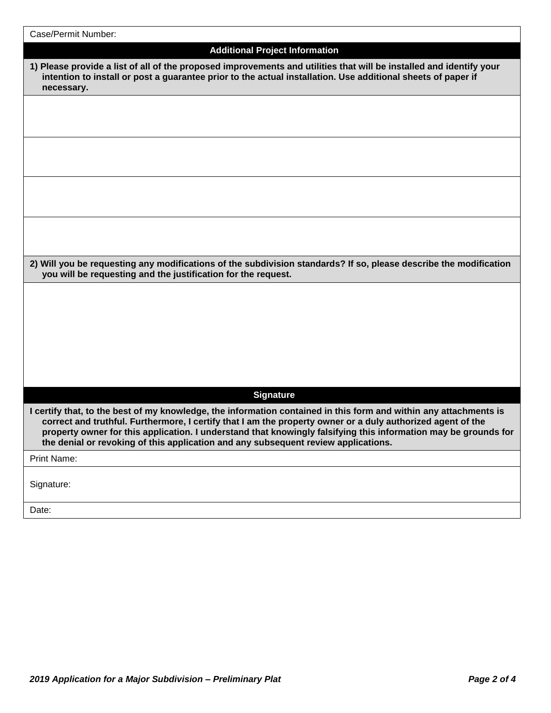| Case/Permit Number:                                                                                                                                                                                                                                                                                                                                                                                                                       |
|-------------------------------------------------------------------------------------------------------------------------------------------------------------------------------------------------------------------------------------------------------------------------------------------------------------------------------------------------------------------------------------------------------------------------------------------|
| <b>Additional Project Information</b>                                                                                                                                                                                                                                                                                                                                                                                                     |
| 1) Please provide a list of all of the proposed improvements and utilities that will be installed and identify your<br>intention to install or post a guarantee prior to the actual installation. Use additional sheets of paper if<br>necessary.                                                                                                                                                                                         |
|                                                                                                                                                                                                                                                                                                                                                                                                                                           |
|                                                                                                                                                                                                                                                                                                                                                                                                                                           |
|                                                                                                                                                                                                                                                                                                                                                                                                                                           |
|                                                                                                                                                                                                                                                                                                                                                                                                                                           |
| 2) Will you be requesting any modifications of the subdivision standards? If so, please describe the modification<br>you will be requesting and the justification for the request.                                                                                                                                                                                                                                                        |
|                                                                                                                                                                                                                                                                                                                                                                                                                                           |
| <b>Signature</b>                                                                                                                                                                                                                                                                                                                                                                                                                          |
| I certify that, to the best of my knowledge, the information contained in this form and within any attachments is<br>correct and truthful. Furthermore, I certify that I am the property owner or a duly authorized agent of the<br>property owner for this application. I understand that knowingly falsifying this information may be grounds for<br>the denial or revoking of this application and any subsequent review applications. |
| Print Name:                                                                                                                                                                                                                                                                                                                                                                                                                               |
| Signature:                                                                                                                                                                                                                                                                                                                                                                                                                                |
| Date:                                                                                                                                                                                                                                                                                                                                                                                                                                     |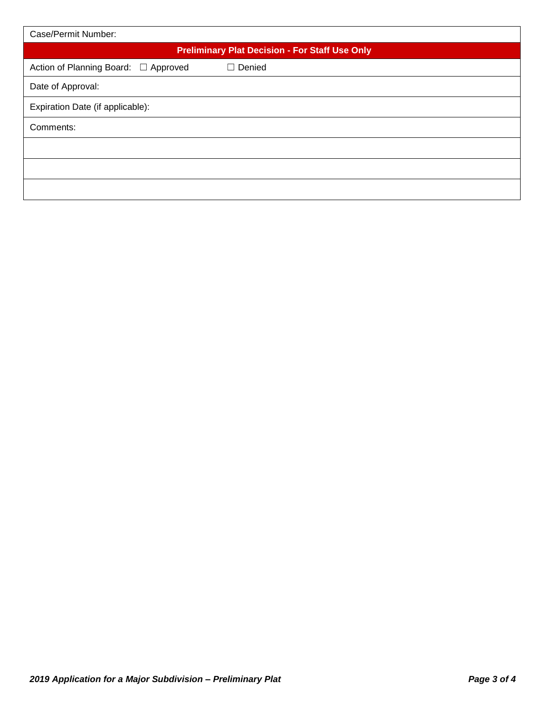| Case/Permit Number:                                   |  |  |
|-------------------------------------------------------|--|--|
| <b>Preliminary Plat Decision - For Staff Use Only</b> |  |  |
| Action of Planning Board: □ Approved<br>$\Box$ Denied |  |  |
| Date of Approval:                                     |  |  |
| Expiration Date (if applicable):                      |  |  |
| Comments:                                             |  |  |
|                                                       |  |  |
|                                                       |  |  |
|                                                       |  |  |